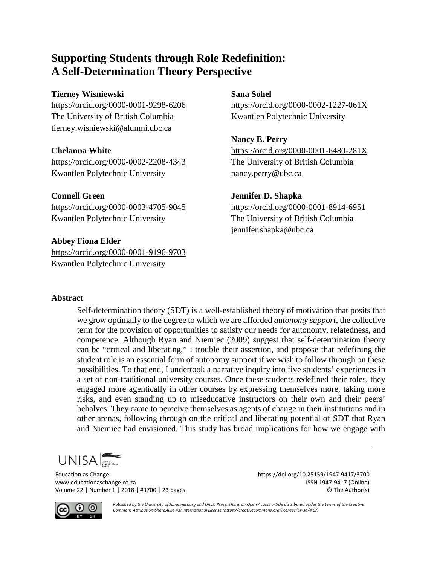# **Supporting Students through Role Redefinition: A Self-Determination Theory Perspective**

## **Tierney Wisniewski Sana Sohel**

The University of British Columbia Kwantlen Polytechnic University [tierney.wisniewski@alumni.ubc.ca](mailto:tierney.wisniewski@alumni.ubc.ca)

<https://orcid.org/0000-0002-2208-4343> The University of British Columbia Kwantlen Polytechnic University [nancy.perry@ubc.ca](mailto:nancy.perry@ubc.ca)

**Connell Green Jennifer D. Shapka**

## **Abbey Fiona Elder**

<https://orcid.org/0000-0001-9196-9703> Kwantlen Polytechnic University

<https://orcid.org/0000-0001-9298-6206> <https://orcid.org/0000-0002-1227-061X>

**Nancy E. Perry Chelanna White** <https://orcid.org/0000-0001-6480-281X>

<https://orcid.org/0000-0003-4705-9045> <https://orcid.org/0000-0001-8914-6951> Kwantlen Polytechnic University The University of British Columbia [jennifer.shapka@ubc.ca](mailto:jennifer.shapka@ubc.ca)

## **Abstract**

Self-determination theory (SDT) is a well-established theory of motivation that posits that we grow optimally to the degree to which we are afforded *autonomy support*, the collective term for the provision of opportunities to satisfy our needs for autonomy, relatedness, and competence. Although Ryan and Niemiec (2009) suggest that self-determination theory can be "critical and liberating," I trouble their assertion, and propose that redefining the student role is an essential form of autonomy support if we wish to follow through on these possibilities. To that end, I undertook a narrative inquiry into five students' experiences in a set of non-traditional university courses. Once these students redefined their roles, they engaged more agentically in other courses by expressing themselves more, taking more risks, and even standing up to miseducative instructors on their own and their peers' behalves. They came to perceive themselves as agents of change in their institutions and in other arenas, following through on the critical and liberating potential of SDT that Ryan and Niemiec had envisioned. This study has broad implications for how we engage with

$$
\text{UNISA}\underset{\text{press}}{\overbrace{\left|\text{mives}\right|}}
$$

Education as Change https://doi.org/10.25159/1947-9417/3700 www.educationaschange.co.za ISSN 1947-9417 (Online) Volume 22 | Number 1 | 2018 | #3700 | 23 pages © The Author(s)



*Published by the University of Johannesburg and Unisa Press. This is an Open Access article distributed under the terms of the Creative Commons Attribution-ShareAlike 4.0 International License (https://creativecommons.org/licenses/by-sa/4.0/)*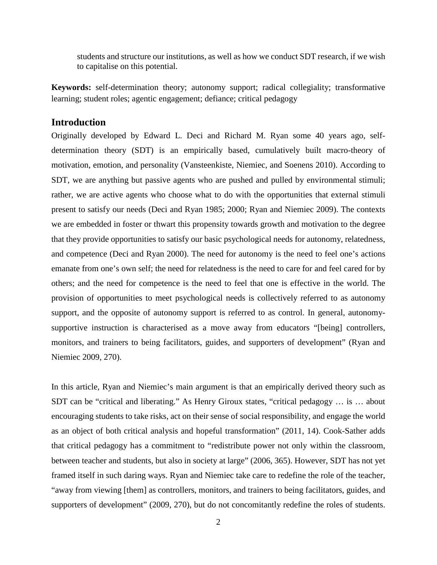students and structure our institutions, as well as how we conduct SDT research, if we wish to capitalise on this potential.

**Keywords:** self-determination theory; autonomy support; radical collegiality; transformative learning; student roles; agentic engagement; defiance; critical pedagogy

## **Introduction**

Originally developed by Edward L. Deci and Richard M. Ryan some 40 years ago, selfdetermination theory (SDT) is an empirically based, cumulatively built macro-theory of motivation, emotion, and personality (Vansteenkiste, Niemiec, and Soenens 2010). According to SDT, we are anything but passive agents who are pushed and pulled by environmental stimuli; rather, we are active agents who choose what to do with the opportunities that external stimuli present to satisfy our needs (Deci and Ryan 1985; 2000; Ryan and Niemiec 2009). The contexts we are embedded in foster or thwart this propensity towards growth and motivation to the degree that they provide opportunities to satisfy our basic psychological needs for autonomy, relatedness, and competence (Deci and Ryan 2000). The need for autonomy is the need to feel one's actions emanate from one's own self; the need for relatedness is the need to care for and feel cared for by others; and the need for competence is the need to feel that one is effective in the world. The provision of opportunities to meet psychological needs is collectively referred to as autonomy support, and the opposite of autonomy support is referred to as control. In general, autonomysupportive instruction is characterised as a move away from educators "[being] controllers, monitors, and trainers to being facilitators, guides, and supporters of development" (Ryan and Niemiec 2009, 270).

In this article, Ryan and Niemiec's main argument is that an empirically derived theory such as SDT can be "critical and liberating." As Henry Giroux states, "critical pedagogy … is … about encouraging students to take risks, act on their sense of social responsibility, and engage the world as an object of both critical analysis and hopeful transformation" (2011, 14). Cook-Sather adds that critical pedagogy has a commitment to "redistribute power not only within the classroom, between teacher and students, but also in society at large" (2006, 365). However, SDT has not yet framed itself in such daring ways. Ryan and Niemiec take care to redefine the role of the teacher, "away from viewing [them] as controllers, monitors, and trainers to being facilitators, guides, and supporters of development" (2009, 270), but do not concomitantly redefine the roles of students.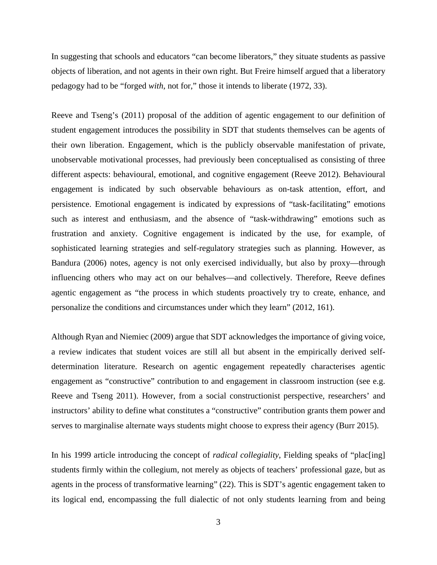In suggesting that schools and educators "can become liberators," they situate students as passive objects of liberation, and not agents in their own right. But Freire himself argued that a liberatory pedagogy had to be "forged *with*, not for," those it intends to liberate (1972, 33).

Reeve and Tseng's (2011) proposal of the addition of agentic engagement to our definition of student engagement introduces the possibility in SDT that students themselves can be agents of their own liberation. Engagement, which is the publicly observable manifestation of private, unobservable motivational processes, had previously been conceptualised as consisting of three different aspects: behavioural, emotional, and cognitive engagement (Reeve 2012). Behavioural engagement is indicated by such observable behaviours as on-task attention, effort, and persistence. Emotional engagement is indicated by expressions of "task-facilitating" emotions such as interest and enthusiasm, and the absence of "task-withdrawing" emotions such as frustration and anxiety. Cognitive engagement is indicated by the use, for example, of sophisticated learning strategies and self-regulatory strategies such as planning. However, as Bandura (2006) notes, agency is not only exercised individually, but also by proxy—through influencing others who may act on our behalves—and collectively. Therefore, Reeve defines agentic engagement as "the process in which students proactively try to create, enhance, and personalize the conditions and circumstances under which they learn" (2012, 161).

Although Ryan and Niemiec (2009) argue that SDT acknowledges the importance of giving voice, a review indicates that student voices are still all but absent in the empirically derived selfdetermination literature. Research on agentic engagement repeatedly characterises agentic engagement as "constructive" contribution to and engagement in classroom instruction (see e.g. Reeve and Tseng 2011). However, from a social constructionist perspective, researchers' and instructors' ability to define what constitutes a "constructive" contribution grants them power and serves to marginalise alternate ways students might choose to express their agency (Burr 2015).

In his 1999 article introducing the concept of *radical collegiality*, Fielding speaks of "plac[ing] students firmly within the collegium, not merely as objects of teachers' professional gaze, but as agents in the process of transformative learning" (22). This is SDT's agentic engagement taken to its logical end, encompassing the full dialectic of not only students learning from and being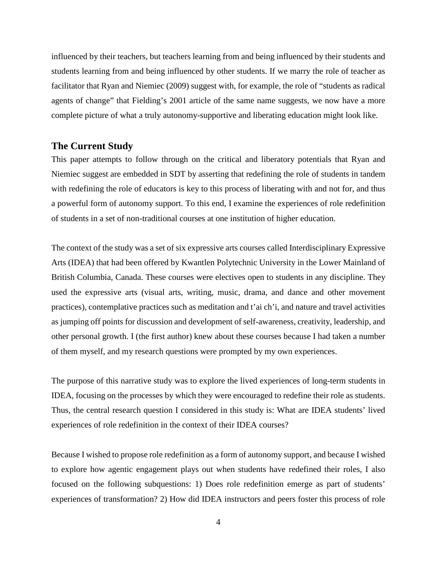influenced by their teachers, but teachers learning from and being influenced by their students and students learning from and being influenced by other students. If we marry the role of teacher as facilitator that Ryan and Niemiec (2009) suggest with, for example, the role of "students as radical agents of change" that Fielding's 2001 article of the same name suggests, we now have a more complete picture of what a truly autonomy-supportive and liberating education might look like.

## **The Current Study**

This paper attempts to follow through on the critical and liberatory potentials that Ryan and Niemiec suggest are embedded in SDT by asserting that redefining the role of students in tandem with redefining the role of educators is key to this process of liberating with and not for, and thus a powerful form of autonomy support. To this end, I examine the experiences of role redefinition of students in a set of non-traditional courses at one institution of higher education.

The context of the study was a set of six expressive arts courses called Interdisciplinary Expressive Arts (IDEA) that had been offered by Kwantlen Polytechnic University in the Lower Mainland of British Columbia, Canada. These courses were electives open to students in any discipline. They used the expressive arts (visual arts, writing, music, drama, and dance and other movement practices), contemplative practices such as meditation and t'ai ch'i, and nature and travel activities as jumping off points for discussion and development of self-awareness, creativity, leadership, and other personal growth. I (the first author) knew about these courses because I had taken a number of them myself, and my research questions were prompted by my own experiences.

The purpose of this narrative study was to explore the lived experiences of long-term students in IDEA, focusing on the processes by which they were encouraged to redefine their role as students. Thus, the central research question I considered in this study is: What are IDEA students' lived experiences of role redefinition in the context of their IDEA courses?

Because I wished to propose role redefinition as a form of autonomy support, and because I wished to explore how agentic engagement plays out when students have redefined their roles, I also focused on the following subquestions: 1) Does role redefinition emerge as part of students' experiences of transformation? 2) How did IDEA instructors and peers foster this process of role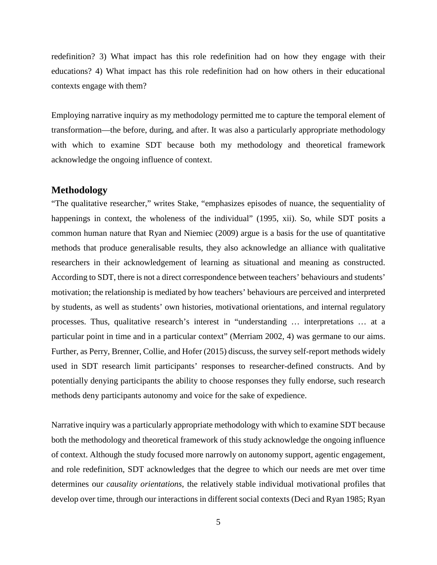redefinition? 3) What impact has this role redefinition had on how they engage with their educations? 4) What impact has this role redefinition had on how others in their educational contexts engage with them?

Employing narrative inquiry as my methodology permitted me to capture the temporal element of transformation—the before, during, and after. It was also a particularly appropriate methodology with which to examine SDT because both my methodology and theoretical framework acknowledge the ongoing influence of context.

### **Methodology**

"The qualitative researcher," writes Stake, "emphasizes episodes of nuance, the sequentiality of happenings in context, the wholeness of the individual" (1995, xii). So, while SDT posits a common human nature that Ryan and Niemiec (2009) argue is a basis for the use of quantitative methods that produce generalisable results, they also acknowledge an alliance with qualitative researchers in their acknowledgement of learning as situational and meaning as constructed. According to SDT, there is not a direct correspondence between teachers' behaviours and students' motivation; the relationship is mediated by how teachers' behaviours are perceived and interpreted by students, as well as students' own histories, motivational orientations, and internal regulatory processes. Thus, qualitative research's interest in "understanding … interpretations … at a particular point in time and in a particular context" (Merriam 2002, 4) was germane to our aims. Further, as Perry, Brenner, Collie, and Hofer (2015) discuss, the survey self-report methods widely used in SDT research limit participants' responses to researcher-defined constructs. And by potentially denying participants the ability to choose responses they fully endorse, such research methods deny participants autonomy and voice for the sake of expedience.

Narrative inquiry was a particularly appropriate methodology with which to examine SDT because both the methodology and theoretical framework of this study acknowledge the ongoing influence of context. Although the study focused more narrowly on autonomy support, agentic engagement, and role redefinition, SDT acknowledges that the degree to which our needs are met over time determines our *causality orientations*, the relatively stable individual motivational profiles that develop over time, through our interactions in different social contexts (Deci and Ryan 1985; Ryan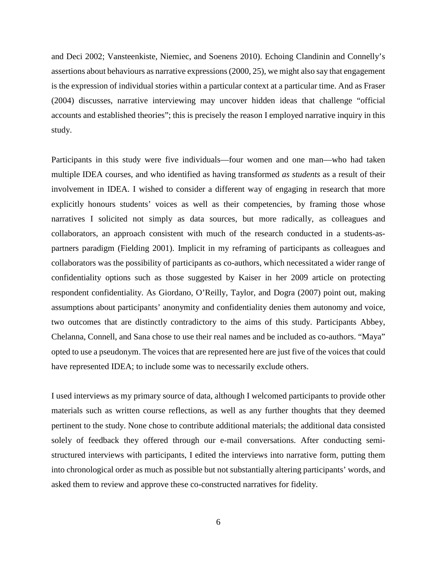and Deci 2002; Vansteenkiste, Niemiec, and Soenens 2010). Echoing Clandinin and Connelly's assertions about behaviours as narrative expressions (2000, 25), we might also say that engagement is the expression of individual stories within a particular context at a particular time. And as Fraser (2004) discusses, narrative interviewing may uncover hidden ideas that challenge "official accounts and established theories"; this is precisely the reason I employed narrative inquiry in this study.

Participants in this study were five individuals—four women and one man—who had taken multiple IDEA courses, and who identified as having transformed *as students* as a result of their involvement in IDEA. I wished to consider a different way of engaging in research that more explicitly honours students' voices as well as their competencies, by framing those whose narratives I solicited not simply as data sources, but more radically, as colleagues and collaborators, an approach consistent with much of the research conducted in a students-aspartners paradigm (Fielding 2001). Implicit in my reframing of participants as colleagues and collaborators was the possibility of participants as co-authors, which necessitated a wider range of confidentiality options such as those suggested by Kaiser in her 2009 article on protecting respondent confidentiality. As Giordano, O'Reilly, Taylor, and Dogra (2007) point out, making assumptions about participants' anonymity and confidentiality denies them autonomy and voice, two outcomes that are distinctly contradictory to the aims of this study. Participants Abbey, Chelanna, Connell, and Sana chose to use their real names and be included as co-authors. "Maya" opted to use a pseudonym. The voices that are represented here are just five of the voices that could have represented IDEA; to include some was to necessarily exclude others.

I used interviews as my primary source of data, although I welcomed participants to provide other materials such as written course reflections, as well as any further thoughts that they deemed pertinent to the study. None chose to contribute additional materials; the additional data consisted solely of feedback they offered through our e-mail conversations. After conducting semistructured interviews with participants, I edited the interviews into narrative form, putting them into chronological order as much as possible but not substantially altering participants' words, and asked them to review and approve these co-constructed narratives for fidelity.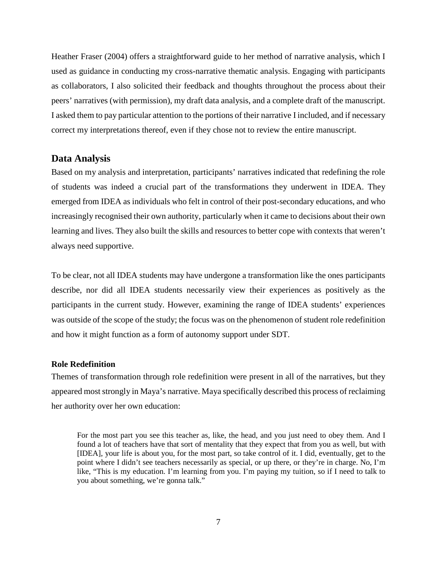Heather Fraser (2004) offers a straightforward guide to her method of narrative analysis, which I used as guidance in conducting my cross-narrative thematic analysis. Engaging with participants as collaborators, I also solicited their feedback and thoughts throughout the process about their peers' narratives (with permission), my draft data analysis, and a complete draft of the manuscript. I asked them to pay particular attention to the portions of their narrative I included, and if necessary correct my interpretations thereof, even if they chose not to review the entire manuscript.

#### **Data Analysis**

Based on my analysis and interpretation, participants' narratives indicated that redefining the role of students was indeed a crucial part of the transformations they underwent in IDEA. They emerged from IDEA as individuals who felt in control of their post-secondary educations, and who increasingly recognised their own authority, particularly when it came to decisions about their own learning and lives. They also built the skills and resources to better cope with contexts that weren't always need supportive.

To be clear, not all IDEA students may have undergone a transformation like the ones participants describe, nor did all IDEA students necessarily view their experiences as positively as the participants in the current study. However, examining the range of IDEA students' experiences was outside of the scope of the study; the focus was on the phenomenon of student role redefinition and how it might function as a form of autonomy support under SDT.

#### **Role Redefinition**

Themes of transformation through role redefinition were present in all of the narratives, but they appeared most strongly in Maya's narrative. Maya specifically described this process of reclaiming her authority over her own education:

For the most part you see this teacher as, like, the head, and you just need to obey them. And I found a lot of teachers have that sort of mentality that they expect that from you as well, but with [IDEA], your life is about you, for the most part, so take control of it. I did, eventually, get to the point where I didn't see teachers necessarily as special, or up there, or they're in charge. No, I'm like, "This is my education. I'm learning from you. I'm paying my tuition, so if I need to talk to you about something, we're gonna talk."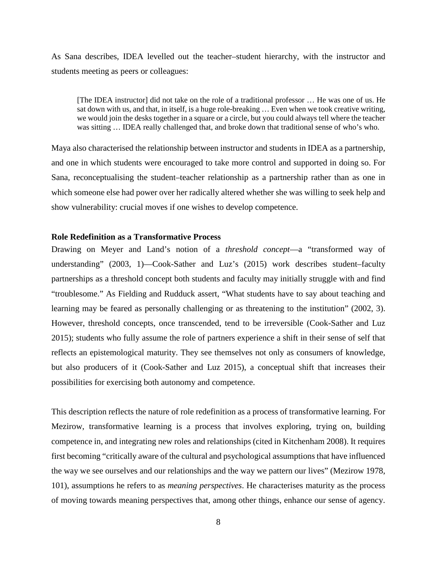As Sana describes, IDEA levelled out the teacher–student hierarchy, with the instructor and students meeting as peers or colleagues:

[The IDEA instructor] did not take on the role of a traditional professor … He was one of us. He sat down with us, and that, in itself, is a huge role-breaking … Even when we took creative writing, we would join the desks together in a square or a circle, but you could always tell where the teacher was sitting … IDEA really challenged that, and broke down that traditional sense of who's who.

Maya also characterised the relationship between instructor and students in IDEA as a partnership, and one in which students were encouraged to take more control and supported in doing so. For Sana, reconceptualising the student–teacher relationship as a partnership rather than as one in which someone else had power over her radically altered whether she was willing to seek help and show vulnerability: crucial moves if one wishes to develop competence.

#### **Role Redefinition as a Transformative Process**

Drawing on Meyer and Land's notion of a *threshold concept*—a "transformed way of understanding" (2003, 1)—Cook-Sather and Luz's (2015) work describes student–faculty partnerships as a threshold concept both students and faculty may initially struggle with and find "troublesome." As Fielding and Rudduck assert, "What students have to say about teaching and learning may be feared as personally challenging or as threatening to the institution" (2002, 3). However, threshold concepts, once transcended, tend to be irreversible (Cook-Sather and Luz 2015); students who fully assume the role of partners experience a shift in their sense of self that reflects an epistemological maturity. They see themselves not only as consumers of knowledge, but also producers of it (Cook-Sather and Luz 2015), a conceptual shift that increases their possibilities for exercising both autonomy and competence.

This description reflects the nature of role redefinition as a process of transformative learning. For Mezirow, transformative learning is a process that involves exploring, trying on, building competence in, and integrating new roles and relationships (cited in Kitchenham 2008). It requires first becoming "critically aware of the cultural and psychological assumptions that have influenced the way we see ourselves and our relationships and the way we pattern our lives" (Mezirow 1978, 101), assumptions he refers to as *meaning perspectives*. He characterises maturity as the process of moving towards meaning perspectives that, among other things, enhance our sense of agency.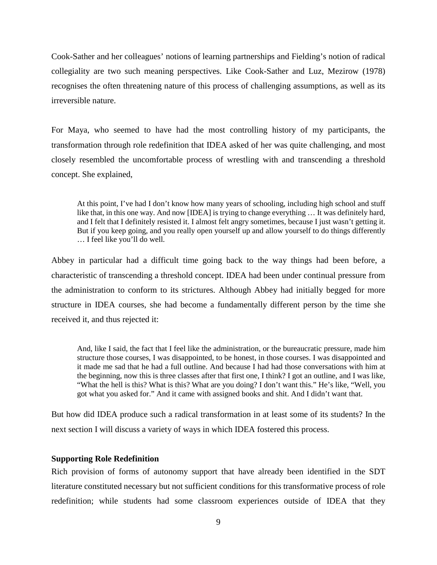Cook-Sather and her colleagues' notions of learning partnerships and Fielding's notion of radical collegiality are two such meaning perspectives. Like Cook-Sather and Luz, Mezirow (1978) recognises the often threatening nature of this process of challenging assumptions, as well as its irreversible nature.

For Maya, who seemed to have had the most controlling history of my participants, the transformation through role redefinition that IDEA asked of her was quite challenging, and most closely resembled the uncomfortable process of wrestling with and transcending a threshold concept. She explained,

At this point, I've had I don't know how many years of schooling, including high school and stuff like that, in this one way. And now [IDEA] is trying to change everything … It was definitely hard, and I felt that I definitely resisted it. I almost felt angry sometimes, because I just wasn't getting it. But if you keep going, and you really open yourself up and allow yourself to do things differently … I feel like you'll do well.

Abbey in particular had a difficult time going back to the way things had been before, a characteristic of transcending a threshold concept. IDEA had been under continual pressure from the administration to conform to its strictures. Although Abbey had initially begged for more structure in IDEA courses, she had become a fundamentally different person by the time she received it, and thus rejected it:

And, like I said, the fact that I feel like the administration, or the bureaucratic pressure, made him structure those courses, I was disappointed, to be honest, in those courses. I was disappointed and it made me sad that he had a full outline. And because I had had those conversations with him at the beginning, now this is three classes after that first one, I think? I got an outline, and I was like, "What the hell is this? What is this? What are you doing? I don't want this." He's like, "Well, you got what you asked for." And it came with assigned books and shit. And I didn't want that.

But how did IDEA produce such a radical transformation in at least some of its students? In the next section I will discuss a variety of ways in which IDEA fostered this process.

### **Supporting Role Redefinition**

Rich provision of forms of autonomy support that have already been identified in the SDT literature constituted necessary but not sufficient conditions for this transformative process of role redefinition; while students had some classroom experiences outside of IDEA that they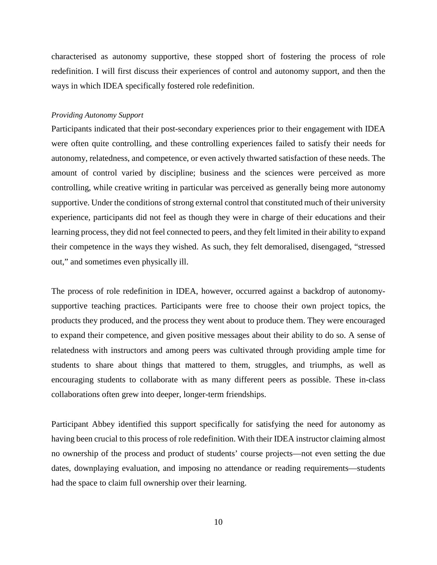characterised as autonomy supportive, these stopped short of fostering the process of role redefinition. I will first discuss their experiences of control and autonomy support, and then the ways in which IDEA specifically fostered role redefinition.

#### *Providing Autonomy Support*

Participants indicated that their post-secondary experiences prior to their engagement with IDEA were often quite controlling, and these controlling experiences failed to satisfy their needs for autonomy, relatedness, and competence, or even actively thwarted satisfaction of these needs. The amount of control varied by discipline; business and the sciences were perceived as more controlling, while creative writing in particular was perceived as generally being more autonomy supportive. Under the conditions of strong external control that constituted much of their university experience, participants did not feel as though they were in charge of their educations and their learning process, they did not feel connected to peers, and they felt limited in their ability to expand their competence in the ways they wished. As such, they felt demoralised, disengaged, "stressed out," and sometimes even physically ill.

The process of role redefinition in IDEA, however, occurred against a backdrop of autonomysupportive teaching practices. Participants were free to choose their own project topics, the products they produced, and the process they went about to produce them. They were encouraged to expand their competence, and given positive messages about their ability to do so. A sense of relatedness with instructors and among peers was cultivated through providing ample time for students to share about things that mattered to them, struggles, and triumphs, as well as encouraging students to collaborate with as many different peers as possible. These in-class collaborations often grew into deeper, longer-term friendships.

Participant Abbey identified this support specifically for satisfying the need for autonomy as having been crucial to this process of role redefinition. With their IDEA instructor claiming almost no ownership of the process and product of students' course projects—not even setting the due dates, downplaying evaluation, and imposing no attendance or reading requirements—students had the space to claim full ownership over their learning.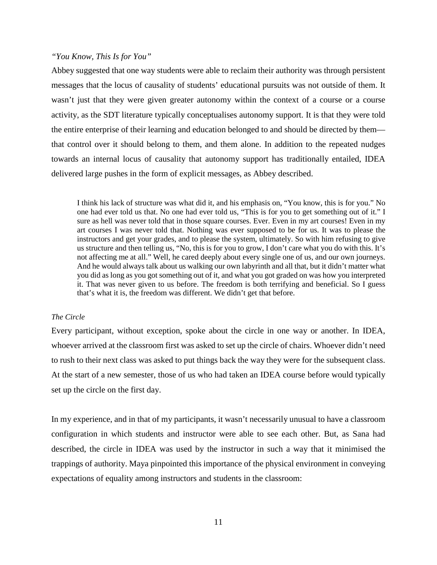### *"You Know, This Is for You"*

Abbey suggested that one way students were able to reclaim their authority was through persistent messages that the locus of causality of students' educational pursuits was not outside of them. It wasn't just that they were given greater autonomy within the context of a course or a course activity, as the SDT literature typically conceptualises autonomy support. It is that they were told the entire enterprise of their learning and education belonged to and should be directed by them that control over it should belong to them, and them alone. In addition to the repeated nudges towards an internal locus of causality that autonomy support has traditionally entailed, IDEA delivered large pushes in the form of explicit messages, as Abbey described.

I think his lack of structure was what did it, and his emphasis on, "You know, this is for you." No one had ever told us that. No one had ever told us, "This is for you to get something out of it." I sure as hell was never told that in those square courses. Ever. Even in my art courses! Even in my art courses I was never told that. Nothing was ever supposed to be for us. It was to please the instructors and get your grades, and to please the system, ultimately. So with him refusing to give us structure and then telling us, "No, this is for you to grow, I don't care what you do with this. It's not affecting me at all." Well, he cared deeply about every single one of us, and our own journeys. And he would always talk about us walking our own labyrinth and all that, but it didn't matter what you did as long as you got something out of it, and what you got graded on was how you interpreted it. That was never given to us before. The freedom is both terrifying and beneficial. So I guess that's what it is, the freedom was different. We didn't get that before.

#### *The Circle*

Every participant, without exception, spoke about the circle in one way or another. In IDEA, whoever arrived at the classroom first was asked to set up the circle of chairs. Whoever didn't need to rush to their next class was asked to put things back the way they were for the subsequent class. At the start of a new semester, those of us who had taken an IDEA course before would typically set up the circle on the first day.

In my experience, and in that of my participants, it wasn't necessarily unusual to have a classroom configuration in which students and instructor were able to see each other. But, as Sana had described, the circle in IDEA was used by the instructor in such a way that it minimised the trappings of authority. Maya pinpointed this importance of the physical environment in conveying expectations of equality among instructors and students in the classroom: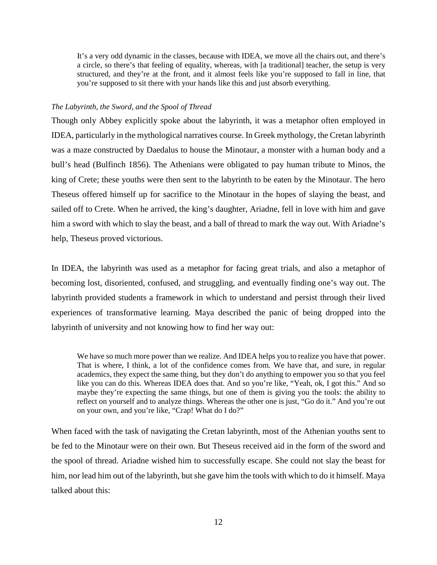It's a very odd dynamic in the classes, because with IDEA, we move all the chairs out, and there's a circle, so there's that feeling of equality, whereas, with [a traditional] teacher, the setup is very structured, and they're at the front, and it almost feels like you're supposed to fall in line, that you're supposed to sit there with your hands like this and just absorb everything.

#### *The Labyrinth, the Sword, and the Spool of Thread*

Though only Abbey explicitly spoke about the labyrinth, it was a metaphor often employed in IDEA, particularly in the mythological narratives course. In Greek mythology, the Cretan labyrinth was a maze constructed by Daedalus to house the Minotaur, a monster with a human body and a bull's head (Bulfinch 1856). The Athenians were obligated to pay human tribute to Minos, the king of Crete; these youths were then sent to the labyrinth to be eaten by the Minotaur. The hero Theseus offered himself up for sacrifice to the Minotaur in the hopes of slaying the beast, and sailed off to Crete. When he arrived, the king's daughter, Ariadne, fell in love with him and gave him a sword with which to slay the beast, and a ball of thread to mark the way out. With Ariadne's help, Theseus proved victorious.

In IDEA, the labyrinth was used as a metaphor for facing great trials, and also a metaphor of becoming lost, disoriented, confused, and struggling, and eventually finding one's way out. The labyrinth provided students a framework in which to understand and persist through their lived experiences of transformative learning. Maya described the panic of being dropped into the labyrinth of university and not knowing how to find her way out:

We have so much more power than we realize. And IDEA helps you to realize you have that power. That is where, I think, a lot of the confidence comes from. We have that, and sure, in regular academics, they expect the same thing, but they don't do anything to empower you so that you feel like you can do this. Whereas IDEA does that. And so you're like, "Yeah, ok, I got this." And so maybe they're expecting the same things, but one of them is giving you the tools: the ability to reflect on yourself and to analyze things. Whereas the other one is just, "Go do it." And you're out on your own, and you're like, "Crap! What do I do?"

When faced with the task of navigating the Cretan labyrinth, most of the Athenian youths sent to be fed to the Minotaur were on their own. But Theseus received aid in the form of the sword and the spool of thread. Ariadne wished him to successfully escape. She could not slay the beast for him, nor lead him out of the labyrinth, but she gave him the tools with which to do it himself. Maya talked about this: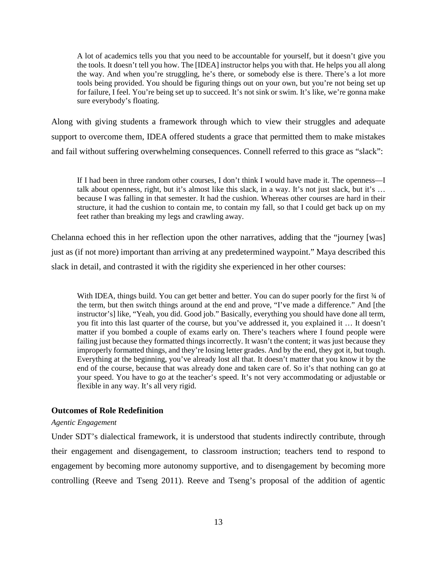A lot of academics tells you that you need to be accountable for yourself, but it doesn't give you the tools. It doesn't tell you how. The [IDEA] instructor helps you with that. He helps you all along the way. And when you're struggling, he's there, or somebody else is there. There's a lot more tools being provided. You should be figuring things out on your own, but you're not being set up for failure, I feel. You're being set up to succeed. It's not sink or swim. It's like, we're gonna make sure everybody's floating.

Along with giving students a framework through which to view their struggles and adequate support to overcome them, IDEA offered students a grace that permitted them to make mistakes and fail without suffering overwhelming consequences. Connell referred to this grace as "slack":

If I had been in three random other courses, I don't think I would have made it. The openness—I talk about openness, right, but it's almost like this slack, in a way. It's not just slack, but it's … because I was falling in that semester. It had the cushion. Whereas other courses are hard in their structure, it had the cushion to contain me, to contain my fall, so that I could get back up on my feet rather than breaking my legs and crawling away.

Chelanna echoed this in her reflection upon the other narratives, adding that the "journey [was] just as (if not more) important than arriving at any predetermined waypoint." Maya described this slack in detail, and contrasted it with the rigidity she experienced in her other courses:

With IDEA, things build. You can get better and better. You can do super poorly for the first 34 of the term, but then switch things around at the end and prove, "I've made a difference." And [the instructor's] like, "Yeah, you did. Good job." Basically, everything you should have done all term, you fit into this last quarter of the course, but you've addressed it, you explained it … It doesn't matter if you bombed a couple of exams early on. There's teachers where I found people were failing just because they formatted things incorrectly. It wasn't the content; it was just because they improperly formatted things, and they're losing letter grades. And by the end, they got it, but tough. Everything at the beginning, you've already lost all that. It doesn't matter that you know it by the end of the course, because that was already done and taken care of. So it's that nothing can go at your speed. You have to go at the teacher's speed. It's not very accommodating or adjustable or flexible in any way. It's all very rigid.

#### **Outcomes of Role Redefinition**

#### *Agentic Engagement*

Under SDT's dialectical framework, it is understood that students indirectly contribute, through their engagement and disengagement, to classroom instruction; teachers tend to respond to engagement by becoming more autonomy supportive, and to disengagement by becoming more controlling (Reeve and Tseng 2011). Reeve and Tseng's proposal of the addition of agentic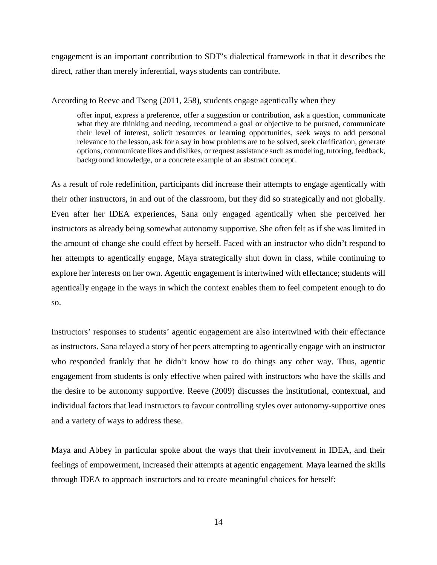engagement is an important contribution to SDT's dialectical framework in that it describes the direct, rather than merely inferential, ways students can contribute.

According to Reeve and Tseng (2011, 258), students engage agentically when they

offer input, express a preference, offer a suggestion or contribution, ask a question, communicate what they are thinking and needing, recommend a goal or objective to be pursued, communicate their level of interest, solicit resources or learning opportunities, seek ways to add personal relevance to the lesson, ask for a say in how problems are to be solved, seek clarification, generate options, communicate likes and dislikes, or request assistance such as modeling, tutoring, feedback, background knowledge, or a concrete example of an abstract concept.

As a result of role redefinition, participants did increase their attempts to engage agentically with their other instructors, in and out of the classroom, but they did so strategically and not globally. Even after her IDEA experiences, Sana only engaged agentically when she perceived her instructors as already being somewhat autonomy supportive. She often felt as if she was limited in the amount of change she could effect by herself. Faced with an instructor who didn't respond to her attempts to agentically engage, Maya strategically shut down in class, while continuing to explore her interests on her own. Agentic engagement is intertwined with effectance; students will agentically engage in the ways in which the context enables them to feel competent enough to do so.

Instructors' responses to students' agentic engagement are also intertwined with their effectance as instructors. Sana relayed a story of her peers attempting to agentically engage with an instructor who responded frankly that he didn't know how to do things any other way. Thus, agentic engagement from students is only effective when paired with instructors who have the skills and the desire to be autonomy supportive. Reeve (2009) discusses the institutional, contextual, and individual factors that lead instructors to favour controlling styles over autonomy-supportive ones and a variety of ways to address these.

Maya and Abbey in particular spoke about the ways that their involvement in IDEA, and their feelings of empowerment, increased their attempts at agentic engagement. Maya learned the skills through IDEA to approach instructors and to create meaningful choices for herself: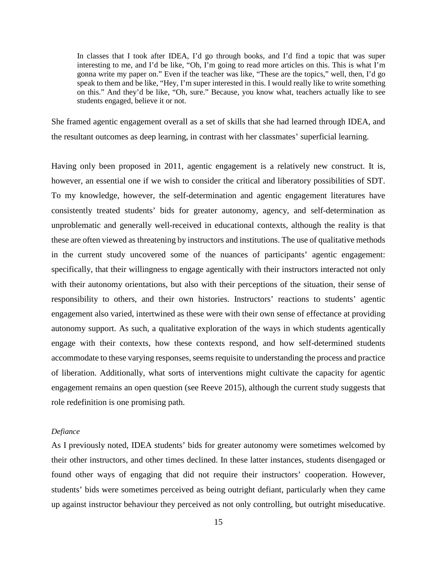In classes that I took after IDEA, I'd go through books, and I'd find a topic that was super interesting to me, and I'd be like, "Oh, I'm going to read more articles on this. This is what I'm gonna write my paper on." Even if the teacher was like, "These are the topics," well, then, I'd go speak to them and be like, "Hey, I'm super interested in this. I would really like to write something on this." And they'd be like, "Oh, sure." Because, you know what, teachers actually like to see students engaged, believe it or not.

She framed agentic engagement overall as a set of skills that she had learned through IDEA, and the resultant outcomes as deep learning, in contrast with her classmates' superficial learning.

Having only been proposed in 2011, agentic engagement is a relatively new construct. It is, however, an essential one if we wish to consider the critical and liberatory possibilities of SDT. To my knowledge, however, the self-determination and agentic engagement literatures have consistently treated students' bids for greater autonomy, agency, and self-determination as unproblematic and generally well-received in educational contexts, although the reality is that these are often viewed as threatening by instructors and institutions. The use of qualitative methods in the current study uncovered some of the nuances of participants' agentic engagement: specifically, that their willingness to engage agentically with their instructors interacted not only with their autonomy orientations, but also with their perceptions of the situation, their sense of responsibility to others, and their own histories. Instructors' reactions to students' agentic engagement also varied, intertwined as these were with their own sense of effectance at providing autonomy support. As such, a qualitative exploration of the ways in which students agentically engage with their contexts, how these contexts respond, and how self-determined students accommodate to these varying responses, seems requisite to understanding the process and practice of liberation. Additionally, what sorts of interventions might cultivate the capacity for agentic engagement remains an open question (see Reeve 2015), although the current study suggests that role redefinition is one promising path.

#### *Defiance*

As I previously noted, IDEA students' bids for greater autonomy were sometimes welcomed by their other instructors, and other times declined. In these latter instances, students disengaged or found other ways of engaging that did not require their instructors' cooperation. However, students' bids were sometimes perceived as being outright defiant, particularly when they came up against instructor behaviour they perceived as not only controlling, but outright miseducative.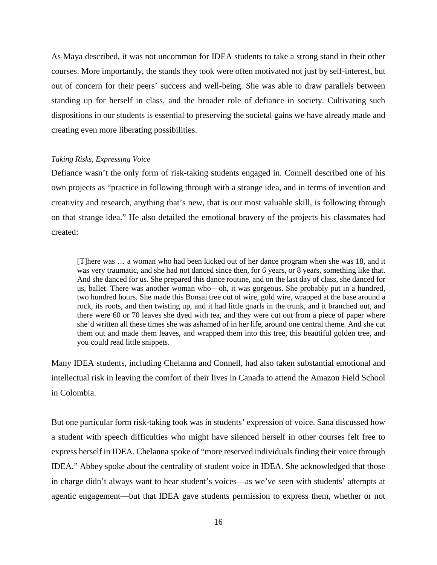As Maya described, it was not uncommon for IDEA students to take a strong stand in their other courses. More importantly, the stands they took were often motivated not just by self-interest, but out of concern for their peers' success and well-being. She was able to draw parallels between standing up for herself in class, and the broader role of defiance in society. Cultivating such dispositions in our students is essential to preserving the societal gains we have already made and creating even more liberating possibilities.

#### *Taking Risks, Expressing Voice*

Defiance wasn't the only form of risk-taking students engaged in. Connell described one of his own projects as "practice in following through with a strange idea, and in terms of invention and creativity and research, anything that's new, that is our most valuable skill, is following through on that strange idea." He also detailed the emotional bravery of the projects his classmates had created:

[T]here was … a woman who had been kicked out of her dance program when she was 18, and it was very traumatic, and she had not danced since then, for 6 years, or 8 years, something like that. And she danced for us. She prepared this dance routine, and on the last day of class, she danced for us, ballet. There was another woman who—oh, it was gorgeous. She probably put in a hundred, two hundred hours. She made this Bonsai tree out of wire, gold wire, wrapped at the base around a rock, its roots, and then twisting up, and it had little gnarls in the trunk, and it branched out, and there were 60 or 70 leaves she dyed with tea, and they were cut out from a piece of paper where she'd written all these times she was ashamed of in her life, around one central theme. And she cut them out and made them leaves, and wrapped them into this tree, this beautiful golden tree, and you could read little snippets.

Many IDEA students, including Chelanna and Connell, had also taken substantial emotional and intellectual risk in leaving the comfort of their lives in Canada to attend the Amazon Field School in Colombia.

But one particular form risk-taking took was in students' expression of voice. Sana discussed how a student with speech difficulties who might have silenced herself in other courses felt free to express herself in IDEA. Chelanna spoke of "more reserved individuals finding their voice through IDEA." Abbey spoke about the centrality of student voice in IDEA. She acknowledged that those in charge didn't always want to hear student's voices—as we've seen with students' attempts at agentic engagement—but that IDEA gave students permission to express them, whether or not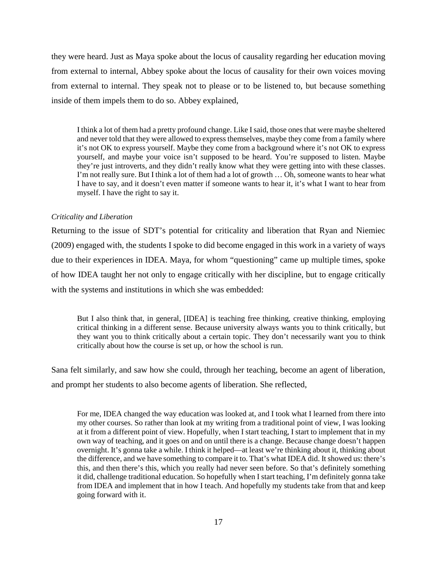they were heard. Just as Maya spoke about the locus of causality regarding her education moving from external to internal, Abbey spoke about the locus of causality for their own voices moving from external to internal. They speak not to please or to be listened to, but because something inside of them impels them to do so. Abbey explained,

I think a lot of them had a pretty profound change. Like I said, those ones that were maybe sheltered and never told that they were allowed to express themselves, maybe they come from a family where it's not OK to express yourself. Maybe they come from a background where it's not OK to express yourself, and maybe your voice isn't supposed to be heard. You're supposed to listen. Maybe they're just introverts, and they didn't really know what they were getting into with these classes. I'm not really sure. But I think a lot of them had a lot of growth … Oh, someone wants to hear what I have to say, and it doesn't even matter if someone wants to hear it, it's what I want to hear from myself. I have the right to say it.

#### *Criticality and Liberation*

Returning to the issue of SDT's potential for criticality and liberation that Ryan and Niemiec (2009) engaged with, the students I spoke to did become engaged in this work in a variety of ways due to their experiences in IDEA. Maya, for whom "questioning" came up multiple times, spoke of how IDEA taught her not only to engage critically with her discipline, but to engage critically with the systems and institutions in which she was embedded:

But I also think that, in general, [IDEA] is teaching free thinking, creative thinking, employing critical thinking in a different sense. Because university always wants you to think critically, but they want you to think critically about a certain topic. They don't necessarily want you to think critically about how the course is set up, or how the school is run.

Sana felt similarly, and saw how she could, through her teaching, become an agent of liberation, and prompt her students to also become agents of liberation. She reflected,

For me, IDEA changed the way education was looked at, and I took what I learned from there into my other courses. So rather than look at my writing from a traditional point of view, I was looking at it from a different point of view. Hopefully, when I start teaching, I start to implement that in my own way of teaching, and it goes on and on until there is a change. Because change doesn't happen overnight. It's gonna take a while. I think it helped—at least we're thinking about it, thinking about the difference, and we have something to compare it to. That's what IDEA did. It showed us: there's this, and then there's this, which you really had never seen before. So that's definitely something it did, challenge traditional education. So hopefully when I start teaching, I'm definitely gonna take from IDEA and implement that in how I teach. And hopefully my students take from that and keep going forward with it.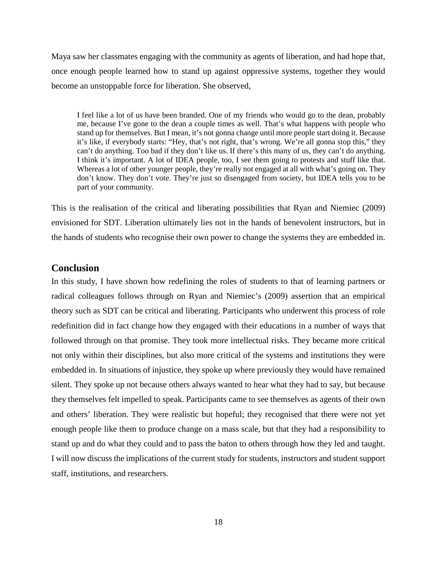Maya saw her classmates engaging with the community as agents of liberation, and had hope that, once enough people learned how to stand up against oppressive systems, together they would become an unstoppable force for liberation. She observed,

I feel like a lot of us have been branded. One of my friends who would go to the dean, probably me, because I've gone to the dean a couple times as well. That's what happens with people who stand up for themselves. But I mean, it's not gonna change until more people start doing it. Because it's like, if everybody starts: "Hey, that's not right, that's wrong. We're all gonna stop this," they can't do anything. Too bad if they don't like us. If there's this many of us, they can't do anything. I think it's important. A lot of IDEA people, too, I see them going to protests and stuff like that. Whereas a lot of other younger people, they're really not engaged at all with what's going on. They don't know. They don't vote. They're just so disengaged from society, but IDEA tells you to be part of your community.

This is the realisation of the critical and liberating possibilities that Ryan and Niemiec (2009) envisioned for SDT. Liberation ultimately lies not in the hands of benevolent instructors, but in the hands of students who recognise their own power to change the systems they are embedded in.

## **Conclusion**

In this study, I have shown how redefining the roles of students to that of learning partners or radical colleagues follows through on Ryan and Niemiec's (2009) assertion that an empirical theory such as SDT can be critical and liberating. Participants who underwent this process of role redefinition did in fact change how they engaged with their educations in a number of ways that followed through on that promise. They took more intellectual risks. They became more critical not only within their disciplines, but also more critical of the systems and institutions they were embedded in. In situations of injustice, they spoke up where previously they would have remained silent. They spoke up not because others always wanted to hear what they had to say, but because they themselves felt impelled to speak. Participants came to see themselves as agents of their own and others' liberation. They were realistic but hopeful; they recognised that there were not yet enough people like them to produce change on a mass scale, but that they had a responsibility to stand up and do what they could and to pass the baton to others through how they led and taught. I will now discuss the implications of the current study for students, instructors and student support staff, institutions, and researchers.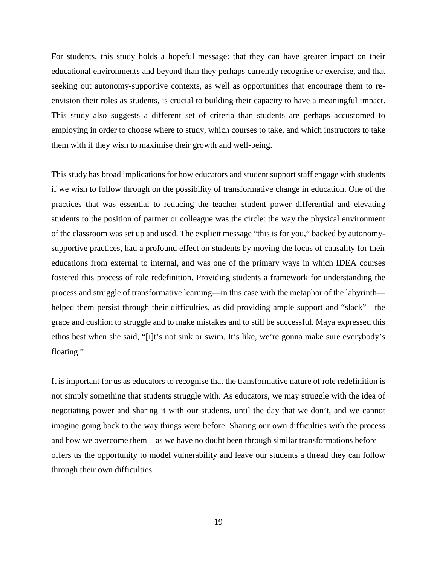For students, this study holds a hopeful message: that they can have greater impact on their educational environments and beyond than they perhaps currently recognise or exercise, and that seeking out autonomy-supportive contexts, as well as opportunities that encourage them to reenvision their roles as students, is crucial to building their capacity to have a meaningful impact. This study also suggests a different set of criteria than students are perhaps accustomed to employing in order to choose where to study, which courses to take, and which instructors to take them with if they wish to maximise their growth and well-being.

This study has broad implications for how educators and student support staff engage with students if we wish to follow through on the possibility of transformative change in education. One of the practices that was essential to reducing the teacher–student power differential and elevating students to the position of partner or colleague was the circle: the way the physical environment of the classroom was set up and used. The explicit message "this is for you," backed by autonomysupportive practices, had a profound effect on students by moving the locus of causality for their educations from external to internal, and was one of the primary ways in which IDEA courses fostered this process of role redefinition. Providing students a framework for understanding the process and struggle of transformative learning—in this case with the metaphor of the labyrinth helped them persist through their difficulties, as did providing ample support and "slack"—the grace and cushion to struggle and to make mistakes and to still be successful. Maya expressed this ethos best when she said, "[i]t's not sink or swim. It's like, we're gonna make sure everybody's floating."

It is important for us as educators to recognise that the transformative nature of role redefinition is not simply something that students struggle with. As educators, we may struggle with the idea of negotiating power and sharing it with our students, until the day that we don't, and we cannot imagine going back to the way things were before. Sharing our own difficulties with the process and how we overcome them—as we have no doubt been through similar transformations before offers us the opportunity to model vulnerability and leave our students a thread they can follow through their own difficulties.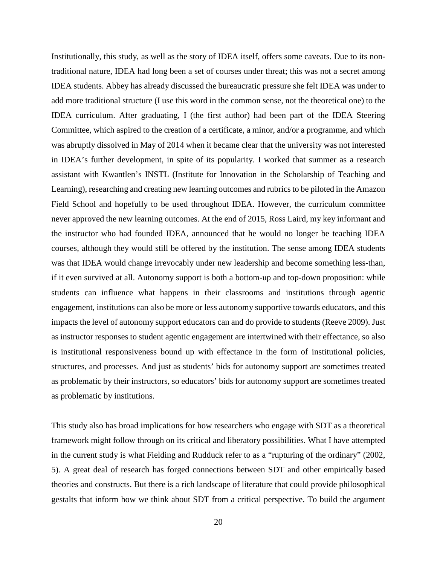Institutionally, this study, as well as the story of IDEA itself, offers some caveats. Due to its nontraditional nature, IDEA had long been a set of courses under threat; this was not a secret among IDEA students. Abbey has already discussed the bureaucratic pressure she felt IDEA was under to add more traditional structure (I use this word in the common sense, not the theoretical one) to the IDEA curriculum. After graduating, I (the first author) had been part of the IDEA Steering Committee, which aspired to the creation of a certificate, a minor, and/or a programme, and which was abruptly dissolved in May of 2014 when it became clear that the university was not interested in IDEA's further development, in spite of its popularity. I worked that summer as a research assistant with Kwantlen's INSTL (Institute for Innovation in the Scholarship of Teaching and Learning), researching and creating new learning outcomes and rubrics to be piloted in the Amazon Field School and hopefully to be used throughout IDEA. However, the curriculum committee never approved the new learning outcomes. At the end of 2015, Ross Laird, my key informant and the instructor who had founded IDEA, announced that he would no longer be teaching IDEA courses, although they would still be offered by the institution. The sense among IDEA students was that IDEA would change irrevocably under new leadership and become something less-than, if it even survived at all. Autonomy support is both a bottom-up and top-down proposition: while students can influence what happens in their classrooms and institutions through agentic engagement, institutions can also be more or less autonomy supportive towards educators, and this impacts the level of autonomy support educators can and do provide to students (Reeve 2009). Just as instructor responses to student agentic engagement are intertwined with their effectance, so also is institutional responsiveness bound up with effectance in the form of institutional policies, structures, and processes. And just as students' bids for autonomy support are sometimes treated as problematic by their instructors, so educators' bids for autonomy support are sometimes treated as problematic by institutions.

This study also has broad implications for how researchers who engage with SDT as a theoretical framework might follow through on its critical and liberatory possibilities. What I have attempted in the current study is what Fielding and Rudduck refer to as a "rupturing of the ordinary" (2002, 5). A great deal of research has forged connections between SDT and other empirically based theories and constructs. But there is a rich landscape of literature that could provide philosophical gestalts that inform how we think about SDT from a critical perspective. To build the argument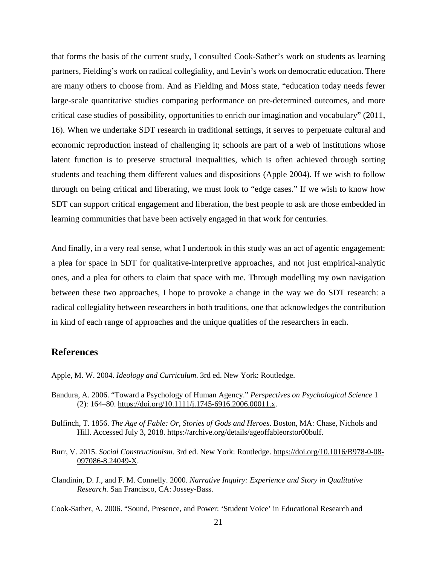that forms the basis of the current study, I consulted Cook-Sather's work on students as learning partners, Fielding's work on radical collegiality, and Levin's work on democratic education. There are many others to choose from. And as Fielding and Moss state, "education today needs fewer large-scale quantitative studies comparing performance on pre-determined outcomes, and more critical case studies of possibility, opportunities to enrich our imagination and vocabulary" (2011, 16). When we undertake SDT research in traditional settings, it serves to perpetuate cultural and economic reproduction instead of challenging it; schools are part of a web of institutions whose latent function is to preserve structural inequalities, which is often achieved through sorting students and teaching them different values and dispositions (Apple 2004). If we wish to follow through on being critical and liberating, we must look to "edge cases." If we wish to know how SDT can support critical engagement and liberation, the best people to ask are those embedded in learning communities that have been actively engaged in that work for centuries.

And finally, in a very real sense, what I undertook in this study was an act of agentic engagement: a plea for space in SDT for qualitative-interpretive approaches, and not just empirical-analytic ones, and a plea for others to claim that space with me. Through modelling my own navigation between these two approaches, I hope to provoke a change in the way we do SDT research: a radical collegiality between researchers in both traditions, one that acknowledges the contribution in kind of each range of approaches and the unique qualities of the researchers in each.

### **References**

Apple, M. W. 2004. *Ideology and Curriculum*. 3rd ed. New York: Routledge.

- Bandura, A. 2006. "Toward a Psychology of Human Agency." *Perspectives on Psychological Science* 1 (2): 164–80. [https://doi.org/10.1111/j.1745-6916.2006.00011.x.](https://doi.org/10.1111/j.1745-6916.2006.00011.x)
- Bulfinch, T. 1856. *The Age of Fable: Or, Stories of Gods and Heroes*. Boston, MA: Chase, Nichols and Hill. Accessed July 3, 2018. [https://archive.org/details/ageoffableorstor00bulf.](https://archive.org/details/ageoffableorstor00bulf)
- Burr, V. 2015. *Social Constructionism*. 3rd ed. New York: Routledge. [https://doi.org/10.1016/B978-0-08-](https://doi.org/10.1016/B978-0-08-097086-8.24049-X) [097086-8.24049-X.](https://doi.org/10.1016/B978-0-08-097086-8.24049-X)
- Clandinin, D. J., and F. M. Connelly. 2000. *Narrative Inquiry: Experience and Story in Qualitative Research*. San Francisco, CA: Jossey-Bass.

Cook-Sather, A. 2006. "Sound, Presence, and Power: 'Student Voice' in Educational Research and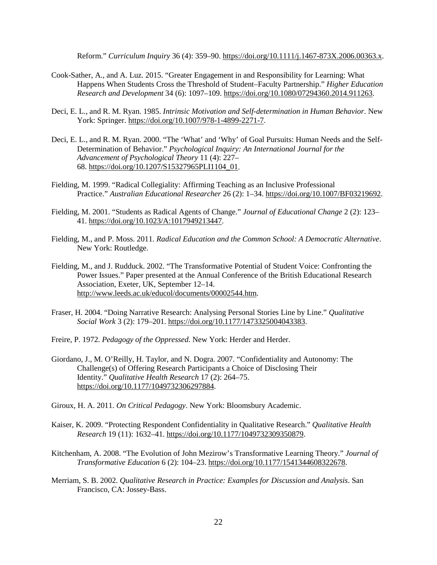Reform." *Curriculum Inquiry* 36 (4): 359–90. [https://doi.org/10.1111/j.1467-873X.2006.00363.x.](https://doi.org/10.1111/j.1467-873X.2006.00363.x)

- Cook-Sather, A., and A. Luz. 2015. "Greater Engagement in and Responsibility for Learning: What Happens When Students Cross the Threshold of Student–Faculty Partnership." *Higher Education Research and Development* 34 (6): 1097–109. [https://doi.org/10.1080/07294360.2014.911263.](https://doi.org/10.1080/07294360.2014.911263)
- Deci, E. L., and R. M. Ryan. 1985. *Intrinsic Motivation and Self-determination in Human Behavior*. New York: Springer. [https://doi.org/10.1007/978-1-4899-2271-7.](https://doi.org/10.1007/978-1-4899-2271-7)
- Deci, E. L., and R. M. Ryan. 2000. "The 'What' and 'Why' of Goal Pursuits: Human Needs and the Self-Determination of Behavior." *Psychological Inquiry: An International Journal for the Advancement of Psychological Theory* 11 (4): 227– 68. [https://doi.org/10.1207/S15327965PLI1104\\_01.](https://doi.org/10.1207/S15327965PLI1104_01)
- Fielding, M. 1999. "Radical Collegiality: Affirming Teaching as an Inclusive Professional Practice." *Australian Educational Researcher* 26 (2): 1–34. [https://doi.org/10.1007/BF03219692.](https://doi.org/10.1007/BF03219692)
- Fielding, M. 2001. "Students as Radical Agents of Change." *Journal of Educational Change* 2 (2): 123– 41. [https://doi.org/10.1023/A:1017949213447.](https://doi.org/10.1023/A:1017949213447)
- Fielding, M., and P. Moss. 2011. *Radical Education and the Common School: A Democratic Alternative*. New York: Routledge.
- Fielding, M., and J. Rudduck. 2002. "The Transformative Potential of Student Voice: Confronting the Power Issues." Paper presented at the Annual Conference of the British Educational Research Association, Exeter, UK, September 12–14. [http://www.leeds.ac.uk/educol/documents/00002544.htm.](http://www.leeds.ac.uk/educol/documents/00002544.htm)
- Fraser, H. 2004. "Doing Narrative Research: Analysing Personal Stories Line by Line." *Qualitative Social Work* 3 (2): 179–201. [https://doi.org/10.1177/1473325004043383.](https://doi.org/10.1177/1473325004043383)
- Freire, P. 1972. *Pedagogy of the Oppressed*. New York: Herder and Herder.
- Giordano, J., M. O'Reilly, H. Taylor, and N. Dogra. 2007. "Confidentiality and Autonomy: The Challenge(s) of Offering Research Participants a Choice of Disclosing Their Identity." *Qualitative Health Research* 17 (2): 264–75. [https://doi.org/10.1177/1049732306297884.](https://doi.org/10.1177/1049732306297884)
- Giroux, H. A. 2011. *On Critical Pedagogy*. New York: Bloomsbury Academic.
- Kaiser, K. 2009. "Protecting Respondent Confidentiality in Qualitative Research." *Qualitative Health Research* 19 (11): 1632–41. [https://doi.org/10.1177/1049732309350879.](https://doi.org/10.1177/1049732309350879)
- Kitchenham, A. 2008. "The Evolution of John Mezirow's Transformative Learning Theory." *Journal of Transformative Education* 6 (2): 104–23. [https://doi.org/10.1177/1541344608322678.](https://doi.org/10.1177/1541344608322678)
- Merriam, S. B. 2002. *Qualitative Research in Practice: Examples for Discussion and Analysis*. San Francisco, CA: Jossey-Bass.